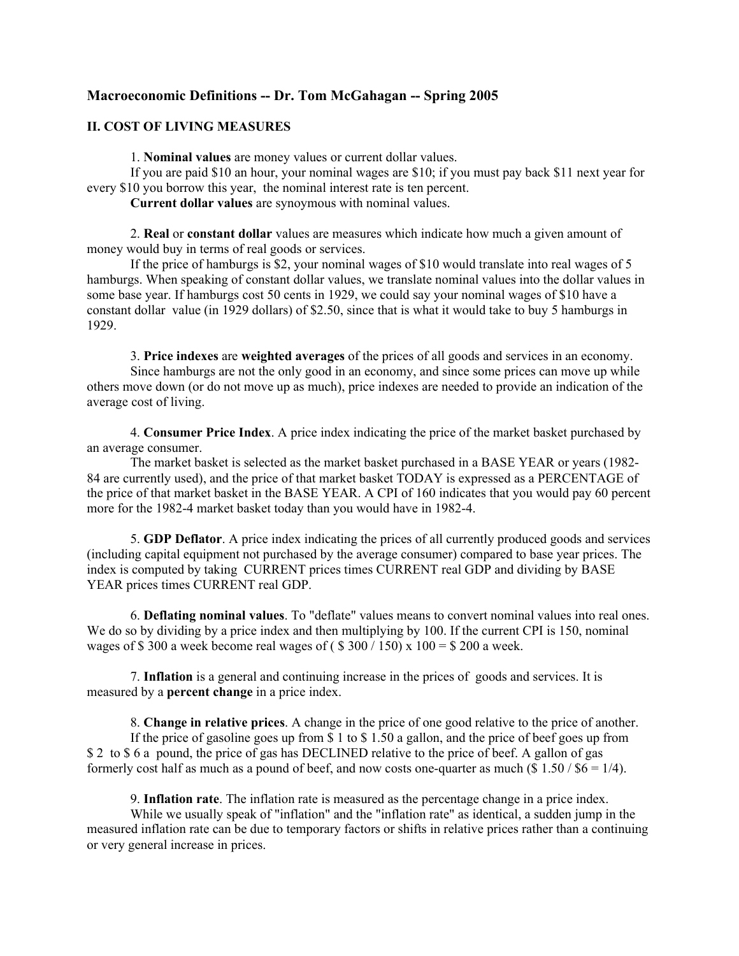## **Macroeconomic Definitions -- Dr. Tom McGahagan -- Spring 2005**

## **II. COST OF LIVING MEASURES**

1. **Nominal values** are money values or current dollar values.

If you are paid \$10 an hour, your nominal wages are \$10; if you must pay back \$11 next year for every \$10 you borrow this year, the nominal interest rate is ten percent.

**Current dollar values** are synoymous with nominal values.

2. **Real** or **constant dollar** values are measures which indicate how much a given amount of money would buy in terms of real goods or services.

If the price of hamburgs is \$2, your nominal wages of \$10 would translate into real wages of 5 hamburgs. When speaking of constant dollar values, we translate nominal values into the dollar values in some base year. If hamburgs cost 50 cents in 1929, we could say your nominal wages of \$10 have a constant dollar value (in 1929 dollars) of \$2.50, since that is what it would take to buy 5 hamburgs in 1929.

3. **Price indexes** are **weighted averages** of the prices of all goods and services in an economy. Since hamburgs are not the only good in an economy, and since some prices can move up while others move down (or do not move up as much), price indexes are needed to provide an indication of the average cost of living.

4. **Consumer Price Index**. A price index indicating the price of the market basket purchased by an average consumer.

The market basket is selected as the market basket purchased in a BASE YEAR or years (1982- 84 are currently used), and the price of that market basket TODAY is expressed as a PERCENTAGE of the price of that market basket in the BASE YEAR. A CPI of 160 indicates that you would pay 60 percent more for the 1982-4 market basket today than you would have in 1982-4.

5. **GDP Deflator**. A price index indicating the prices of all currently produced goods and services (including capital equipment not purchased by the average consumer) compared to base year prices. The index is computed by taking CURRENT prices times CURRENT real GDP and dividing by BASE YEAR prices times CURRENT real GDP.

6. **Deflating nominal values**. To "deflate" values means to convert nominal values into real ones. We do so by dividing by a price index and then multiplying by 100. If the current CPI is 150, nominal wages of \$300 a week become real wages of  $($  \$300  $/$  150) x 100 = \$200 a week.

7. **Inflation** is a general and continuing increase in the prices of goods and services. It is measured by a **percent change** in a price index.

8. **Change in relative prices**. A change in the price of one good relative to the price of another. If the price of gasoline goes up from \$ 1 to \$ 1.50 a gallon, and the price of beef goes up from \$ 2 to \$ 6 a pound, the price of gas has DECLINED relative to the price of beef. A gallon of gas formerly cost half as much as a pound of beef, and now costs one-quarter as much  $(\$ 1.50 / \$ 6 = 1/4)$ .

9. **Inflation rate**. The inflation rate is measured as the percentage change in a price index. While we usually speak of "inflation" and the "inflation rate" as identical, a sudden jump in the measured inflation rate can be due to temporary factors or shifts in relative prices rather than a continuing or very general increase in prices.